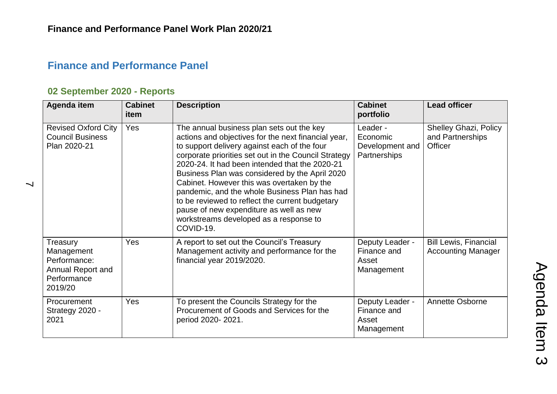## **Finance and Performance Panel**

## **02 September 2020 - Reports**

 $\overline{\phantom{0}}$ 

| Agenda item                                                                           | <b>Cabinet</b><br>item | <b>Description</b>                                                                                                                                                                                                                                                                                                                                                                                                                                                                                                                                               | <b>Cabinet</b><br>portfolio                             | <b>Lead officer</b>                                                |
|---------------------------------------------------------------------------------------|------------------------|------------------------------------------------------------------------------------------------------------------------------------------------------------------------------------------------------------------------------------------------------------------------------------------------------------------------------------------------------------------------------------------------------------------------------------------------------------------------------------------------------------------------------------------------------------------|---------------------------------------------------------|--------------------------------------------------------------------|
| <b>Revised Oxford City</b><br><b>Council Business</b><br>Plan 2020-21                 | Yes                    | The annual business plan sets out the key<br>actions and objectives for the next financial year,<br>to support delivery against each of the four<br>corporate priorities set out in the Council Strategy<br>2020-24. It had been intended that the 2020-21<br>Business Plan was considered by the April 2020<br>Cabinet. However this was overtaken by the<br>pandemic, and the whole Business Plan has had<br>to be reviewed to reflect the current budgetary<br>pause of new expenditure as well as new<br>workstreams developed as a response to<br>COVID-19. | Leader -<br>Economic<br>Development and<br>Partnerships | <b>Shelley Ghazi, Policy</b><br>and Partnerships<br><b>Officer</b> |
| Treasury<br>Management<br>Performance:<br>Annual Report and<br>Performance<br>2019/20 | <b>Yes</b>             | A report to set out the Council's Treasury<br>Management activity and performance for the<br>financial year 2019/2020.                                                                                                                                                                                                                                                                                                                                                                                                                                           | Deputy Leader -<br>Finance and<br>Asset<br>Management   | <b>Bill Lewis, Financial</b><br><b>Accounting Manager</b>          |
| Procurement<br>Strategy 2020 -<br>2021                                                | <b>Yes</b>             | To present the Councils Strategy for the<br>Procurement of Goods and Services for the<br>period 2020-2021.                                                                                                                                                                                                                                                                                                                                                                                                                                                       | Deputy Leader -<br>Finance and<br>Asset<br>Management   | Annette Osborne                                                    |

Agenda Item 3 Agenda Item 3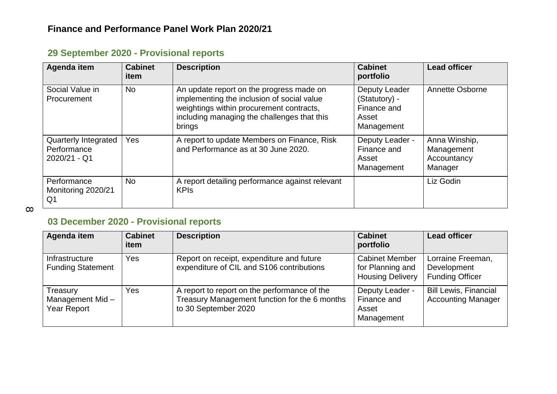| Agenda item                                         | <b>Cabinet</b><br>item | <b>Description</b>                                                                                                                                                                          | <b>Cabinet</b><br>portfolio                                          | <b>Lead officer</b>                                   |
|-----------------------------------------------------|------------------------|---------------------------------------------------------------------------------------------------------------------------------------------------------------------------------------------|----------------------------------------------------------------------|-------------------------------------------------------|
| Social Value in<br>Procurement                      | <b>No</b>              | An update report on the progress made on<br>implementing the inclusion of social value<br>weightings within procurement contracts,<br>including managing the challenges that this<br>brings | Deputy Leader<br>(Statutory) -<br>Finance and<br>Asset<br>Management | Annette Osborne                                       |
| Quarterly Integrated<br>Performance<br>2020/21 - Q1 | Yes                    | A report to update Members on Finance, Risk<br>and Performance as at 30 June 2020.                                                                                                          | Deputy Leader -<br>Finance and<br>Asset<br>Management                | Anna Winship,<br>Management<br>Accountancy<br>Manager |
| Performance<br>Monitoring 2020/21<br>Q <sub>1</sub> | N <sub>o</sub>         | A report detailing performance against relevant<br><b>KPIs</b>                                                                                                                              |                                                                      | Liz Godin                                             |

## **29 September 2020 - Provisional reports**

 $\infty$ 

### **03 December 2020 - Provisional reports**

| Agenda item                                       | <b>Cabinet</b><br>item | <b>Description</b>                                                                                                    | <b>Cabinet</b><br>portfolio                                          | <b>Lead officer</b>                                        |
|---------------------------------------------------|------------------------|-----------------------------------------------------------------------------------------------------------------------|----------------------------------------------------------------------|------------------------------------------------------------|
| Infrastructure<br><b>Funding Statement</b>        | Yes                    | Report on receipt, expenditure and future<br>expenditure of CIL and S106 contributions                                | <b>Cabinet Member</b><br>for Planning and<br><b>Housing Delivery</b> | Lorraine Freeman,<br>Development<br><b>Funding Officer</b> |
| Treasury<br>Management Mid-<br><b>Year Report</b> | Yes                    | A report to report on the performance of the<br>Treasury Management function for the 6 months<br>to 30 September 2020 | Deputy Leader -<br>Finance and<br>Asset<br>Management                | <b>Bill Lewis, Financial</b><br><b>Accounting Manager</b>  |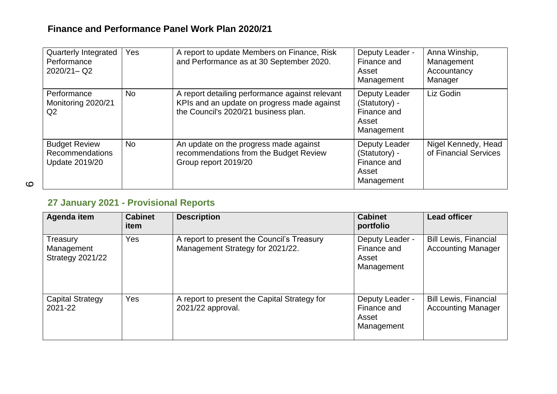#### **Finance and Performance Panel Work Plan 2020/21**

| Quarterly Integrated<br>Performance<br>$2020/21 - Q2$            | Yes       | A report to update Members on Finance, Risk<br>and Performance as at 30 September 2020.                                                | Deputy Leader -<br>Finance and<br>Asset<br>Management                | Anna Winship,<br>Management<br>Accountancy<br>Manager |
|------------------------------------------------------------------|-----------|----------------------------------------------------------------------------------------------------------------------------------------|----------------------------------------------------------------------|-------------------------------------------------------|
| Performance<br>Monitoring 2020/21<br>Q <sub>2</sub>              | No.       | A report detailing performance against relevant<br>KPIs and an update on progress made against<br>the Council's 2020/21 business plan. | Deputy Leader<br>(Statutory) -<br>Finance and<br>Asset<br>Management | Liz Godin                                             |
| <b>Budget Review</b><br>Recommendations<br><b>Update 2019/20</b> | <b>No</b> | An update on the progress made against<br>recommendations from the Budget Review<br>Group report 2019/20                               | Deputy Leader<br>(Statutory) -<br>Finance and<br>Asset<br>Management | Nigel Kennedy, Head<br>of Financial Services          |

 $\circ$ 

# **27 January 2021 - Provisional Reports**

| Agenda item                                       | <b>Cabinet</b><br>item | <b>Description</b>                                                             | <b>Cabinet</b><br>portfolio                           | <b>Lead officer</b>                                       |
|---------------------------------------------------|------------------------|--------------------------------------------------------------------------------|-------------------------------------------------------|-----------------------------------------------------------|
| Treasury<br>Management<br><b>Strategy 2021/22</b> | Yes                    | A report to present the Council's Treasury<br>Management Strategy for 2021/22. | Deputy Leader -<br>Finance and<br>Asset<br>Management | <b>Bill Lewis, Financial</b><br><b>Accounting Manager</b> |
| <b>Capital Strategy</b><br>2021-22                | Yes                    | A report to present the Capital Strategy for<br>2021/22 approval.              | Deputy Leader -<br>Finance and<br>Asset<br>Management | <b>Bill Lewis, Financial</b><br><b>Accounting Manager</b> |